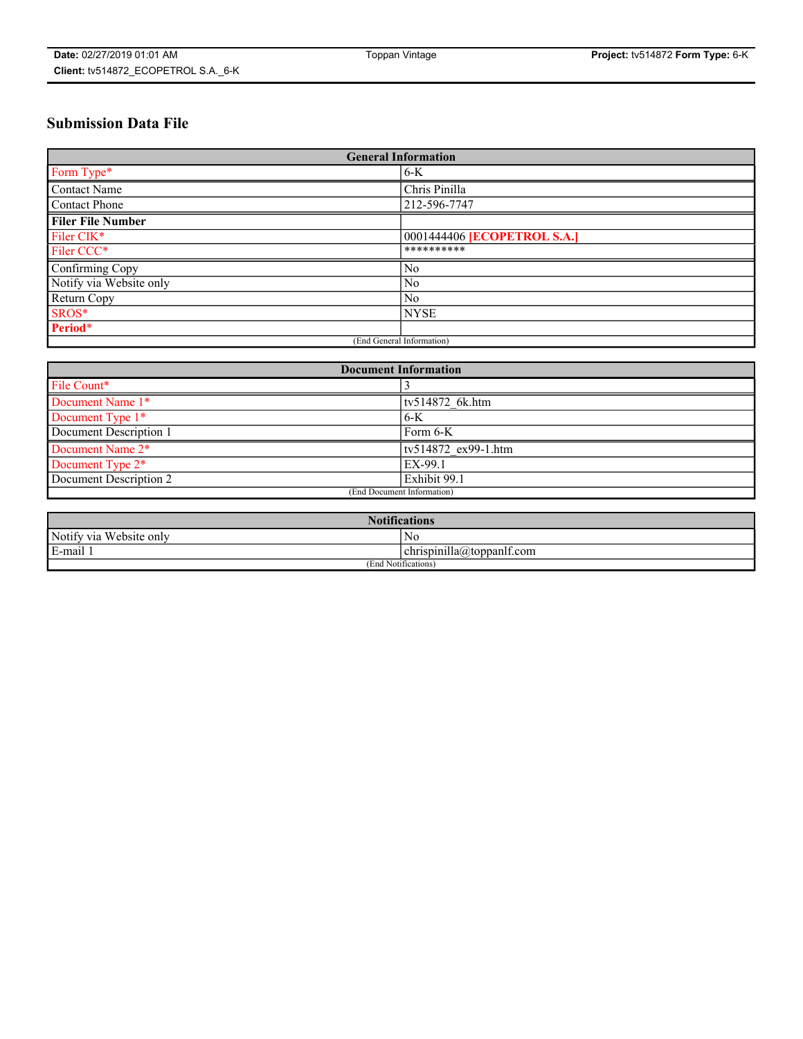# **Submission Data File**

| <b>General Information</b> |                                    |  |
|----------------------------|------------------------------------|--|
| Form Type*                 | $6-K$                              |  |
| Contact Name               | Chris Pinilla                      |  |
| <b>Contact Phone</b>       | 212-596-7747                       |  |
| <b>Filer File Number</b>   |                                    |  |
| Filer CIK*                 | 0001444406 <b>[ECOPETROL S.A.]</b> |  |
| Filer CCC*                 | **********                         |  |
| Confirming Copy            | N <sub>0</sub>                     |  |
| Notify via Website only    | No                                 |  |
| Return Copy                | No                                 |  |
| SROS*                      | <b>NYSE</b>                        |  |
| Period*                    |                                    |  |
| (End General Information)  |                                    |  |

| <b>Document Information</b> |                     |  |
|-----------------------------|---------------------|--|
| File Count*                 |                     |  |
| Document Name 1*            | tv514872 6k.htm     |  |
| Document Type 1*            | $6-K$               |  |
| Document Description 1      | Form 6-K            |  |
| Document Name 2*            | tv514872 ex99-1.htm |  |
| Document Type 2*            | EX-99.1             |  |
| Document Description 2      | Exhibit 99.1        |  |
| (End Document Information)  |                     |  |

| <b>Notifications</b>    |                           |  |
|-------------------------|---------------------------|--|
| Notify via Website only | N0                        |  |
| E-mail 1                | chrispinilla@toppanif.com |  |
| (End Notifications)     |                           |  |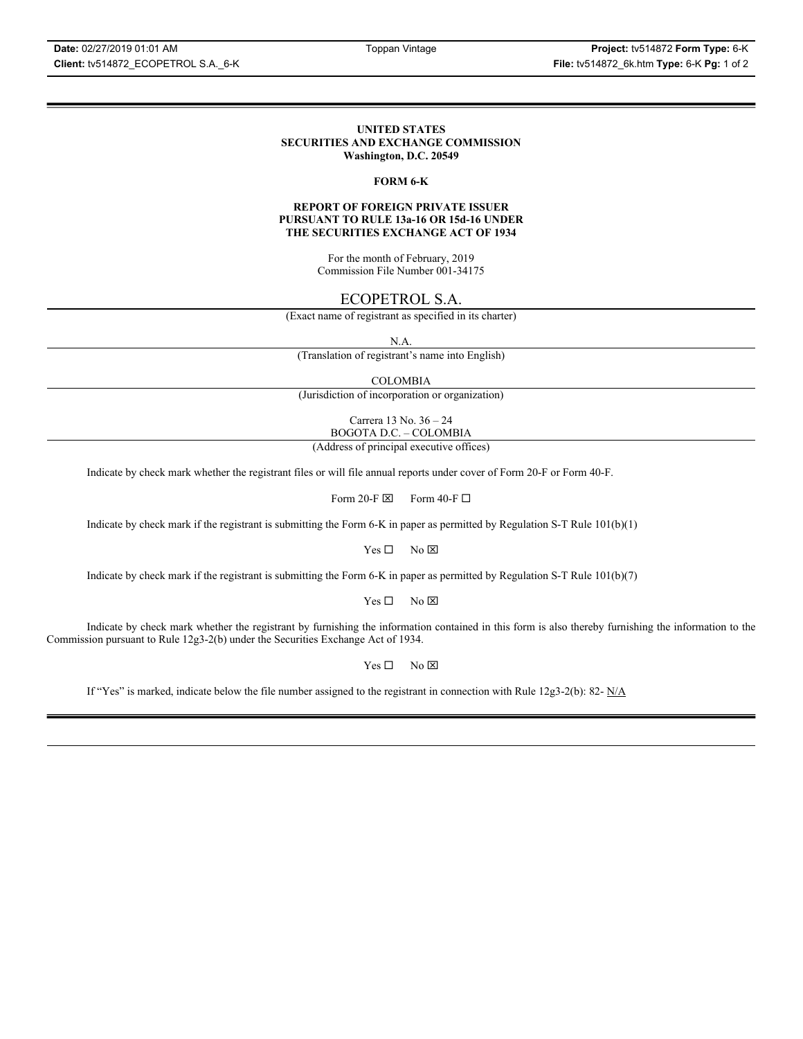### **UNITED STATES SECURITIES AND EXCHANGE COMMISSION Washington, D.C. 20549**

### **FORM 6-K**

### **REPORT OF FOREIGN PRIVATE ISSUER PURSUANT TO RULE 13a-16 OR 15d-16 UNDER THE SECURITIES EXCHANGE ACT OF 1934**

For the month of February, 2019 Commission File Number 001-34175

### ECOPETROL S.A.

(Exact name of registrant as specified in its charter)

N.A.

(Translation of registrant's name into English)

COLOMBIA

(Jurisdiction of incorporation or organization)

Carrera 13 No. 36 – 24 BOGOTA D.C. – COLOMBIA

(Address of principal executive offices)

Indicate by check mark whether the registrant files or will file annual reports under cover of Form 20-F or Form 40-F.

Form 20-F  $\boxtimes$  Form 40-F  $\Box$ 

Indicate by check mark if the registrant is submitting the Form 6-K in paper as permitted by Regulation S-T Rule 101(b)(1)

 $Yes \Box$  No  $\boxtimes$ 

Indicate by check mark if the registrant is submitting the Form 6-K in paper as permitted by Regulation S-T Rule 101(b)(7)

 $Yes \Box$  No  $\boxtimes$ 

Indicate by check mark whether the registrant by furnishing the information contained in this form is also thereby furnishing the information to the Commission pursuant to Rule 12g3-2(b) under the Securities Exchange Act of 1934.

 $Yes \Box$  No  $\boxtimes$ 

If "Yes" is marked, indicate below the file number assigned to the registrant in connection with Rule 12g3-2(b): 82-  $N/A$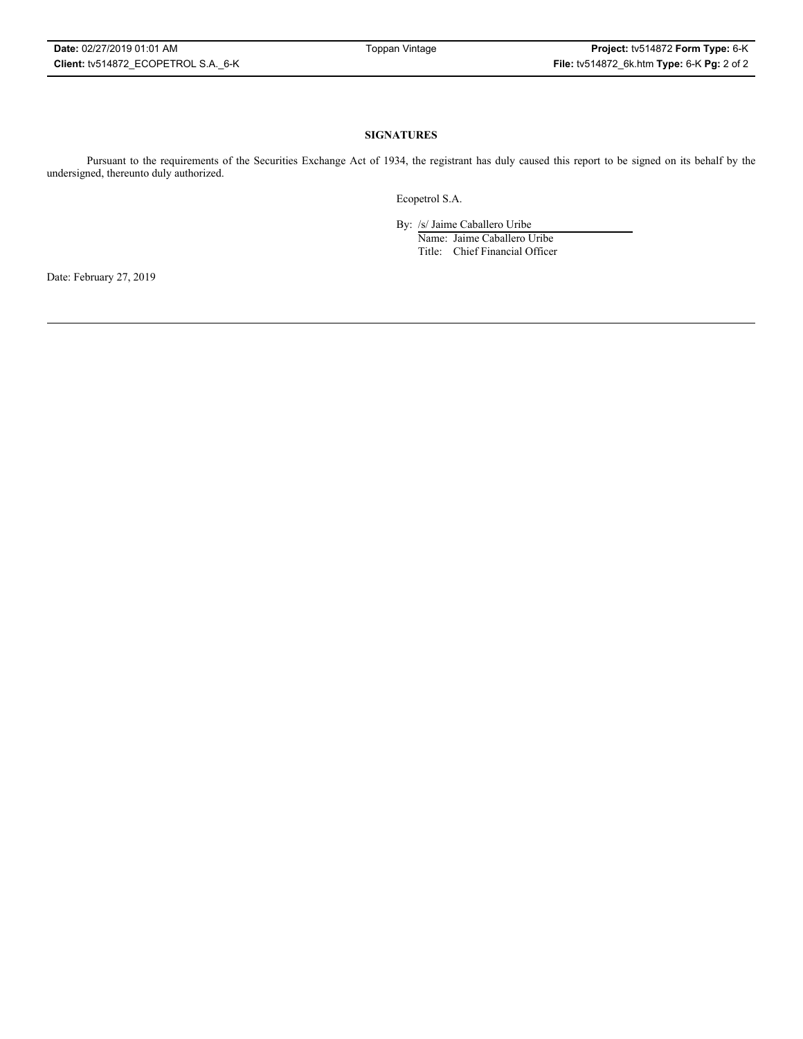### **SIGNATURES**

Pursuant to the requirements of the Securities Exchange Act of 1934, the registrant has duly caused this report to be signed on its behalf by the undersigned, thereunto duly authorized.

Ecopetrol S.A.

By: /s/ Jaime Caballero Uribe

Name: Jaime Caballero Uribe Title: Chief Financial Officer

Date: February 27, 2019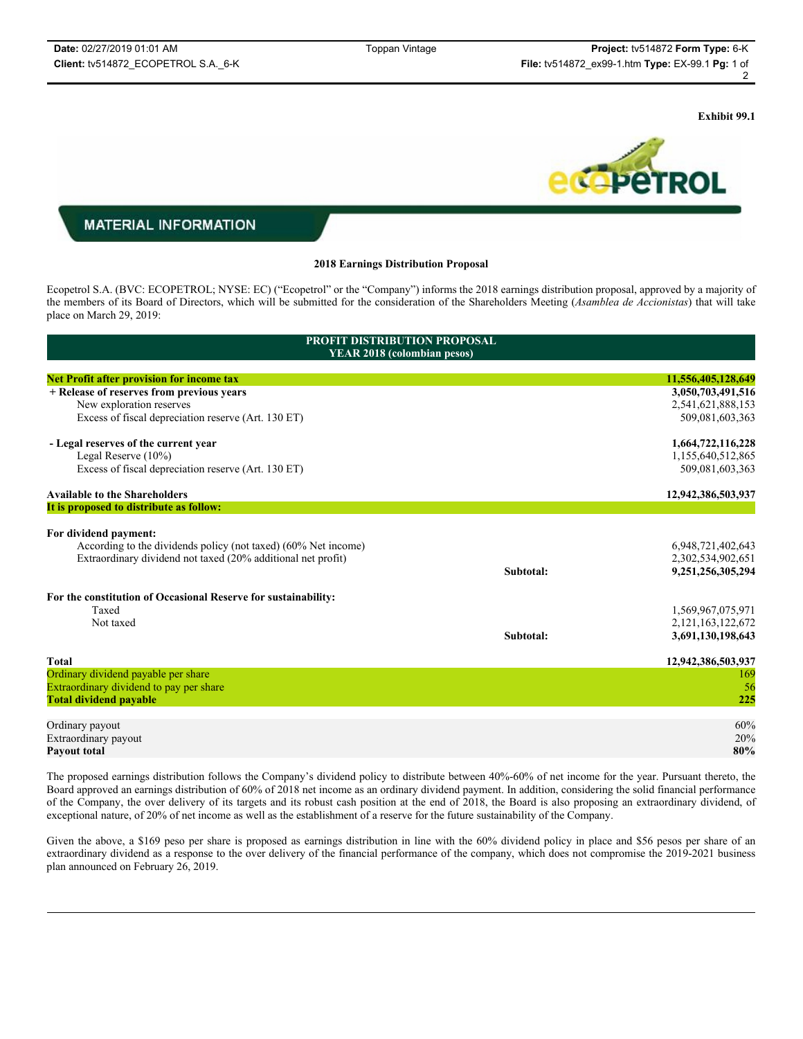**Exhibit 99.1**



## **MATERIAL INFORMATION**

### **2018 Earnings Distribution Proposal**

Ecopetrol S.A. (BVC: ECOPETROL; NYSE: EC) ("Ecopetrol" or the "Company") informs the 2018 earnings distribution proposal, approved by a majority of the members of its Board of Directors, which will be submitted for the consideration of the Shareholders Meeting (*Asamblea de Accionistas*) that will take place on March 29, 2019:

| <b>PROFIT DISTRIBUTION PROPOSAL</b><br><b>YEAR 2018 (colombian pesos)</b> |           |                       |  |
|---------------------------------------------------------------------------|-----------|-----------------------|--|
| <b>Net Profit after provision for income tax</b>                          |           | 11,556,405,128,649    |  |
| + Release of reserves from previous years                                 |           | 3,050,703,491,516     |  |
| New exploration reserves                                                  |           | 2,541,621,888,153     |  |
| Excess of fiscal depreciation reserve (Art. 130 ET)                       |           | 509,081,603,363       |  |
| - Legal reserves of the current year                                      |           | 1,664,722,116,228     |  |
| Legal Reserve $(10\%)$                                                    |           | 1,155,640,512,865     |  |
| Excess of fiscal depreciation reserve (Art. 130 ET)                       |           | 509,081,603,363       |  |
| <b>Available to the Shareholders</b>                                      |           | 12,942,386,503,937    |  |
| It is proposed to distribute as follow:                                   |           |                       |  |
| For dividend payment:                                                     |           |                       |  |
| According to the dividends policy (not taxed) (60% Net income)            |           | 6,948,721,402,643     |  |
| Extraordinary dividend not taxed (20% additional net profit)              |           | 2,302,534,902,651     |  |
|                                                                           | Subtotal: | 9,251,256,305,294     |  |
| For the constitution of Occasional Reserve for sustainability:            |           |                       |  |
| Taxed                                                                     |           | 1,569,967,075,971     |  |
| Not taxed                                                                 |           | 2, 121, 163, 122, 672 |  |
|                                                                           | Subtotal: | 3,691,130,198,643     |  |
| <b>Total</b>                                                              |           | 12,942,386,503,937    |  |
| Ordinary dividend payable per share                                       |           | 169                   |  |
| Extraordinary dividend to pay per share                                   |           | 56                    |  |
| <b>Total dividend payable</b>                                             |           | 225                   |  |
| Ordinary payout                                                           |           | 60%                   |  |
| Extraordinary payout                                                      |           | 20%                   |  |
| <b>Payout total</b>                                                       |           | 80%                   |  |
|                                                                           |           |                       |  |

The proposed earnings distribution follows the Company's dividend policy to distribute between 40%-60% of net income for the year. Pursuant thereto, the Board approved an earnings distribution of 60% of 2018 net income as an ordinary dividend payment. In addition, considering the solid financial performance of the Company, the over delivery of its targets and its robust cash position at the end of 2018, the Board is also proposing an extraordinary dividend, of exceptional nature, of 20% of net income as well as the establishment of a reserve for the future sustainability of the Company.

Given the above, a \$169 peso per share is proposed as earnings distribution in line with the 60% dividend policy in place and \$56 pesos per share of an extraordinary dividend as a response to the over delivery of the financial performance of the company, which does not compromise the 2019-2021 business plan announced on February 26, 2019.